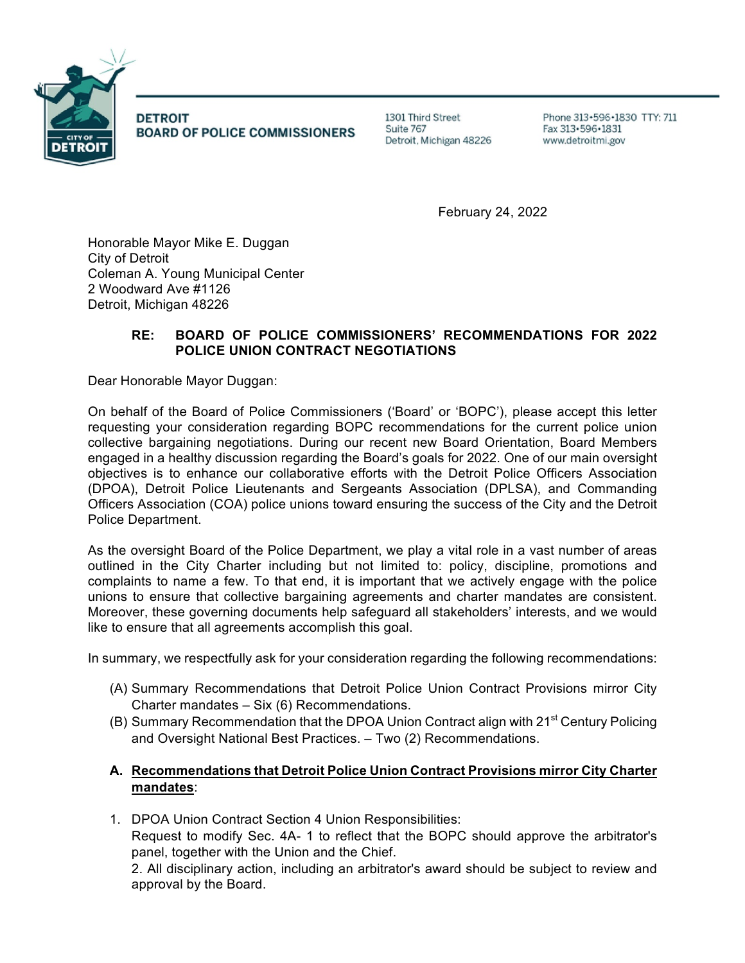

**DETROIT BOARD OF POLICE COMMISSIONERS**  1301 Third Street Suite 767 Detroit, Michigan 48226

Phone 313 - 596 - 1830 TTY: 711 Fax 313 - 596 - 1831 www.detroitmi.gov

February 24, 2022

Honorable Mayor Mike E. Duggan City of Detroit Coleman A. Young Municipal Center 2 Woodward Ave #1126 Detroit, Michigan 48226

## **RE: BOARD OF POLICE COMMISSIONERS' RECOMMENDATIONS FOR 2022 POLICE UNION CONTRACT NEGOTIATIONS**

Dear Honorable Mayor Duggan:

On behalf of the Board of Police Commissioners ('Board' or 'BOPC'), please accept this letter requesting your consideration regarding BOPC recommendations for the current police union collective bargaining negotiations. During our recent new Board Orientation, Board Members engaged in a healthy discussion regarding the Board's goals for 2022. One of our main oversight objectives is to enhance our collaborative efforts with the Detroit Police Officers Association (DPOA), Detroit Police Lieutenants and Sergeants Association (DPLSA), and Commanding Officers Association (COA) police unions toward ensuring the success of the City and the Detroit Police Department.

As the oversight Board of the Police Department, we play a vital role in a vast number of areas outlined in the City Charter including but not limited to: policy, discipline, promotions and complaints to name a few. To that end, it is important that we actively engage with the police unions to ensure that collective bargaining agreements and charter mandates are consistent. Moreover, these governing documents help safeguard all stakeholders' interests, and we would like to ensure that all agreements accomplish this goal.

In summary, we respectfully ask for your consideration regarding the following recommendations:

- (A) Summary Recommendations that Detroit Police Union Contract Provisions mirror City Charter mandates – Six (6) Recommendations.
- (B) Summary Recommendation that the DPOA Union Contract align with 21<sup>st</sup> Century Policing and Oversight National Best Practices. – Two (2) Recommendations.

## **A. Recommendations that Detroit Police Union Contract Provisions mirror City Charter mandates**:

1. DPOA Union Contract Section 4 Union Responsibilities: Request to modify Sec. 4A- 1 to reflect that the BOPC should approve the arbitrator's

panel, together with the Union and the Chief. 2. All disciplinary action, including an arbitrator's award should be subject to review and approval by the Board.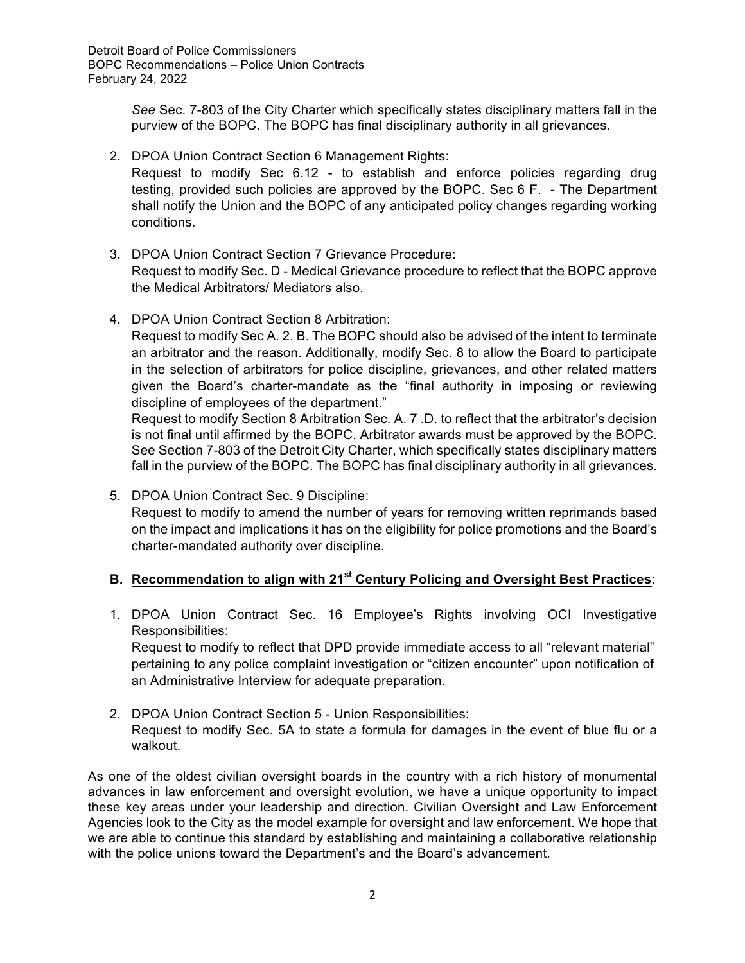*See* Sec. 7-803 of the City Charter which specifically states disciplinary matters fall in the purview of the BOPC. The BOPC has final disciplinary authority in all grievances.

2. DPOA Union Contract Section 6 Management Rights:

Request to modify Sec 6.12 - to establish and enforce policies regarding drug testing, provided such policies are approved by the BOPC. Sec 6 F. - The Department shall notify the Union and the BOPC of any anticipated policy changes regarding working conditions.

- 3. DPOA Union Contract Section 7 Grievance Procedure: Request to modify Sec. D - Medical Grievance procedure to reflect that the BOPC approve the Medical Arbitrators/ Mediators also.
- 4. DPOA Union Contract Section 8 Arbitration:

Request to modify Sec A. 2. B. The BOPC should also be advised of the intent to terminate an arbitrator and the reason. Additionally, modify Sec. 8 to allow the Board to participate in the selection of arbitrators for police discipline, grievances, and other related matters given the Board's charter-mandate as the "final authority in imposing or reviewing discipline of employees of the department."

Request to modify Section 8 Arbitration Sec. A. 7 .D. to reflect that the arbitrator's decision is not final until affirmed by the BOPC. Arbitrator awards must be approved by the BOPC. See Section 7-803 of the Detroit City Charter, which specifically states disciplinary matters fall in the purview of the BOPC. The BOPC has final disciplinary authority in all grievances.

5. DPOA Union Contract Sec. 9 Discipline: Request to modify to amend the number of years for removing written reprimands based on the impact and implications it has on the eligibility for police promotions and the Board's charter-mandated authority over discipline.

## **B. Recommendation to align with 21st Century Policing and Oversight Best Practices**:

1. DPOA Union Contract Sec. 16 Employee's Rights involving OCI Investigative Responsibilities:

Request to modify to reflect that DPD provide immediate access to all "relevant material" pertaining to any police complaint investigation or "citizen encounter" upon notification of an Administrative Interview for adequate preparation.

2. DPOA Union Contract Section 5 - Union Responsibilities: Request to modify Sec. 5A to state a formula for damages in the event of blue flu or a walkout.

As one of the oldest civilian oversight boards in the country with a rich history of monumental advances in law enforcement and oversight evolution, we have a unique opportunity to impact these key areas under your leadership and direction. Civilian Oversight and Law Enforcement Agencies look to the City as the model example for oversight and law enforcement. We hope that we are able to continue this standard by establishing and maintaining a collaborative relationship with the police unions toward the Department's and the Board's advancement.